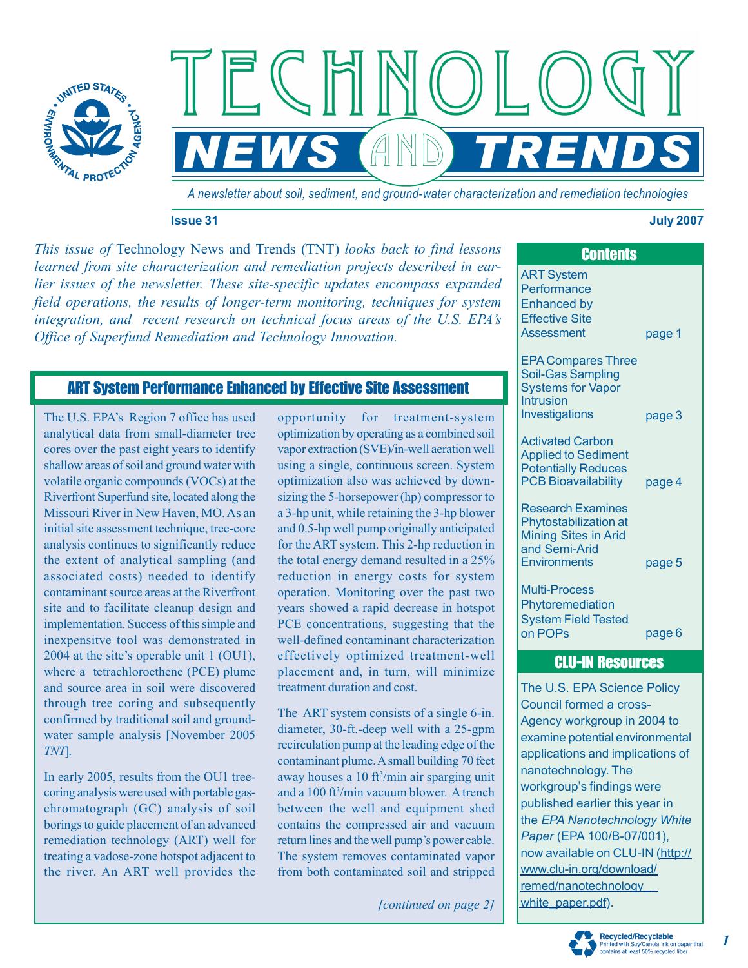

 $NEWS$  (AND) TRENDS

*A newsletter about soil, sediment, and ground-water characterization and remediation technologies* 

#### **Issue 31 July 2007**

*This issue of* Technology News and Trends (TNT) *looks back to find lessons learned from site characterization and remediation projects described in earlier issues of the newsletter. These site-specific updates encompass expanded field operations, the results of longer-term monitoring, techniques for system integration, and recent research on technical focus areas of the U.S. EPA's Office of Superfund Remediation and Technology Innovation.* 

# ART System Performance Enhanced by Effective Site Assessment

The U.S. EPA's Region 7 office has used analytical data from small-diameter tree cores over the past eight years to identify shallow areas of soil and ground water with volatile organic compounds (VOCs) at the Riverfront Superfund site, located along the Missouri River in New Haven, MO. As an initial site assessment technique, tree-core analysis continues to significantly reduce the extent of analytical sampling (and associated costs) needed to identify contaminant source areas at the Riverfront site and to facilitate cleanup design and implementation. Success of this simple and inexpensitve tool was demonstrated in 2004 at the site's operable unit 1 (OU1), where a tetrachloroethene (PCE) plume and source area in soil were discovered through tree coring and subsequently confirmed by traditional soil and groundwater sample analysis [November 2005 *TNT*].

In early 2005, results from the OU1 treecoring analysis were used with portable gaschromatograph (GC) analysis of soil borings to guide placement of an advanced remediation technology (ART) well for treating a vadose-zone hotspot adjacent to the river. An ART well provides the

opportunity for treatment-system optimization by operating as a combined soil vapor extraction (SVE)/in-well aeration well using a single, continuous screen. System optimization also was achieved by downsizing the 5-horsepower (hp) compressor to a 3-hp unit, while retaining the 3-hp blower and 0.5-hp well pump originally anticipated for the ART system. This 2-hp reduction in the total energy demand resulted in a 25% reduction in energy costs for system operation. Monitoring over the past two years showed a rapid decrease in hotspot PCE concentrations, suggesting that the well-defined contaminant characterization effectively optimized treatment-well placement and, in turn, will minimize treatment duration and cost.

The ART system consists of a single 6-in. diameter, 30-ft.-deep well with a 25-gpm recirculation pump at the leading edge of the contaminant plume. A small building 70 feet away houses a 10 ft<sup>3</sup>/min air sparging unit and a 100 ft<sup>3</sup>/min vacuum blower. A trench between the well and equipment shed contains the compressed air and vacuum return lines and the well pump's power cable. The system removes contaminated vapor from both contaminated soil and stripped

*[continued on page 2]* 

|        |  | <b>Contents</b>                                                                                                   |        |  |
|--------|--|-------------------------------------------------------------------------------------------------------------------|--------|--|
| l<br>l |  | <b>ART System</b><br>Performance<br><b>Enhanced by</b><br><b>Effective Site</b><br><b>Assessment</b>              | page 1 |  |
|        |  | <b>EPA Compares Three</b><br><b>Soil-Gas Sampling</b><br><b>Systems for Vapor</b><br>Intrusion<br>Investigations  | page 3 |  |
|        |  | <b>Activated Carbon</b><br><b>Applied to Sediment</b><br><b>Potentially Reduces</b><br><b>PCB Bioavailability</b> | page 4 |  |
|        |  | <b>Research Examines</b><br>Phytostabilization at<br><b>Mining Sites in Arid</b><br>and Semi-Arid<br>Environments | page 5 |  |
|        |  | <b>Multi-Process</b><br>Phytoremediation<br><b>System Field Tested</b><br>on POPs                                 | page 6 |  |
|        |  | <b>CLU-IN Resources</b>                                                                                           |        |  |
|        |  | The U.S. EPA Science Policy<br>Council formed a cross-                                                            |        |  |

Agency workgroup in 2004 to examine potential environmental applications and implications of nanotechnology. The workgroup's findings were published earlier this year in the *EPA Nanotechnology White Paper* (EPA 100/B-07/001), [now available on CLU-IN \(http://](http://www.clu-in.org/download/remed/nanotechnology_white_paper.pdf) www.clu-in.org/download/ remed/nanotechnology\_ white\_paper.pdf).



#### Recycled/Recyclable nted with Soy/Canola Ink on pap<br>htains at least 50% recycled fiber bla ink on paper that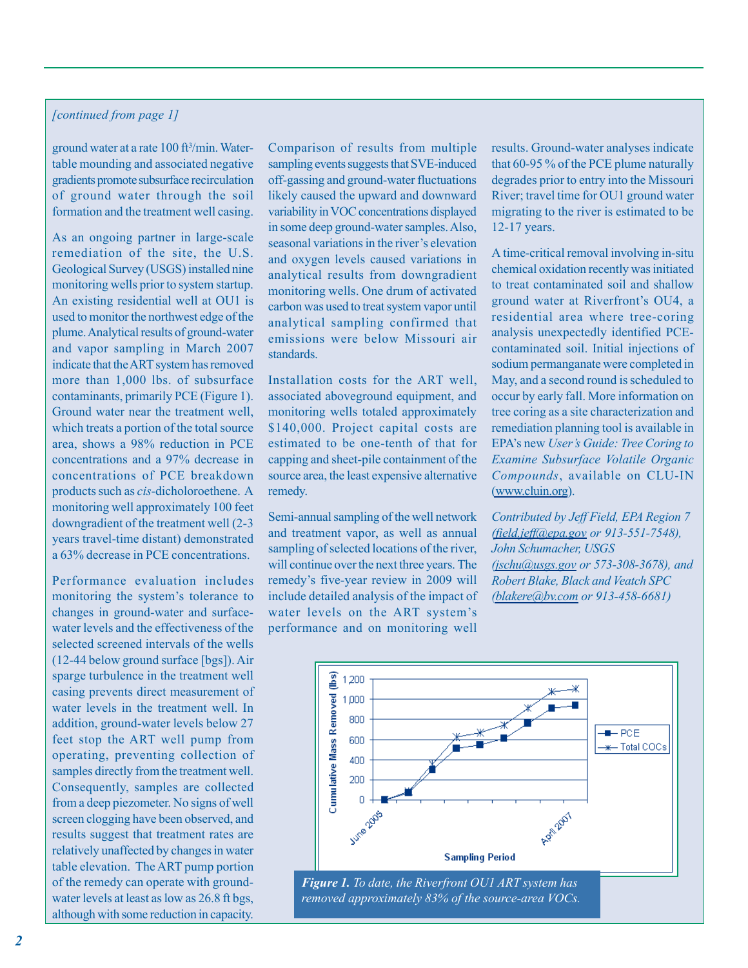## *[continued from page 1]*

ground water at a rate 100 ft<sup>3</sup>/min. Watertable mounding and associated negative gradients promote subsurface recirculation of ground water through the soil formation and the treatment well casing.

As an ongoing partner in large-scale remediation of the site, the U.S. Geological Survey (USGS) installed nine monitoring wells prior to system startup. An existing residential well at OU1 is used to monitor the northwest edge of the plume. Analytical results of ground-water and vapor sampling in March 2007 indicate that the ART system has removed more than 1,000 lbs. of subsurface contaminants, primarily PCE (Figure 1). Ground water near the treatment well, which treats a portion of the total source area, shows a 98% reduction in PCE concentrations and a 97% decrease in concentrations of PCE breakdown products such as *cis*-dicholoroethene. A monitoring well approximately 100 feet downgradient of the treatment well (2-3 years travel-time distant) demonstrated a 63% decrease in PCE concentrations.

Performance evaluation includes monitoring the system's tolerance to changes in ground-water and surfacewater levels and the effectiveness of the selected screened intervals of the wells (12-44 below ground surface [bgs]). Air sparge turbulence in the treatment well casing prevents direct measurement of water levels in the treatment well. In addition, ground-water levels below 27 feet stop the ART well pump from operating, preventing collection of samples directly from the treatment well. Consequently, samples are collected from a deep piezometer. No signs of well screen clogging have been observed, and results suggest that treatment rates are relatively unaffected by changes in water table elevation. The ART pump portion of the remedy can operate with groundwater levels at least as low as 26.8 ft bgs, although with some reduction in capacity.

Comparison of results from multiple sampling events suggests that SVE-induced off-gassing and ground-water fluctuations likely caused the upward and downward variability in VOC concentrations displayed in some deep ground-water samples. Also, seasonal variations in the river's elevation and oxygen levels caused variations in analytical results from downgradient monitoring wells. One drum of activated carbon was used to treat system vapor until analytical sampling confirmed that emissions were below Missouri air standards.

Installation costs for the ART well, associated aboveground equipment, and monitoring wells totaled approximately \$140,000. Project capital costs are estimated to be one-tenth of that for capping and sheet-pile containment of the source area, the least expensive alternative remedy.

Semi-annual sampling of the well network and treatment vapor, as well as annual sampling of selected locations of the river, will continue over the next three years. The remedy's five-year review in 2009 will include detailed analysis of the impact of water levels on the ART system's performance and on monitoring well

results. Ground-water analyses indicate that 60-95 % of the PCE plume naturally degrades prior to entry into the Missouri River; travel time for OU1 ground water migrating to the river is estimated to be 12-17 years.

A time-critical removal involving in-situ chemical oxidation recently was initiated to treat contaminated soil and shallow ground water at Riverfront's OU4, a residential area where tree-coring analysis unexpectedly identified PCEcontaminated soil. Initial injections of sodium permanganate were completed in May, and a second round is scheduled to occur by early fall. More information on tree coring as a site characterization and remediation planning tool is available in EPA's new *User's Guide: Tree Coring to Examine Subsurface Volatile Organic Compounds*, available on CLU-IN [\(www.cluin.org\)](http://www.cluin.org).

*Contributed by Jeff Field, EPA Region 7 ([field.jeff@epa.go](mailto:field.jeff@epa.gov)[v or 913-551-7548\),](mailto:field.jeff@epa.govor913-551-7548)  John Schumacher, USGS [\(jschu@usgs.gov](mailto:jschu@usgs.gov) [or 573-308-3678\), an](mailto:jschu@usgs.govor573-308-3678)d Robert Blake, Black and Veatch SPC [\(blakere@bv.com](mailto:blakere@bv.com) [or 913-458-6681\)](mailto:blakere@bv.comor913-458-6681)* 

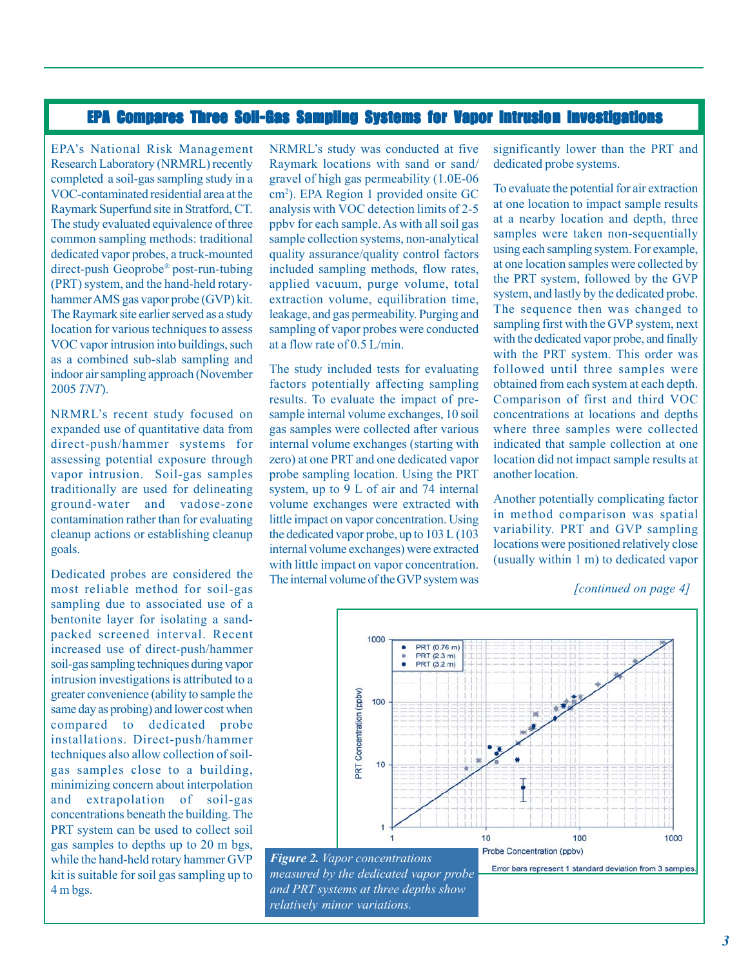# EPA Compares Three Soil-Gas Sampling Systems for Vapor Intrusion Investigations

EPA's National Risk Management Research Laboratory (NRMRL) recently completed a soil-gas sampling study in a VOC-contaminated residential area at the Raymark Superfund site in Stratford, CT. The study evaluated equivalence of three common sampling methods: traditional dedicated vapor probes, a truck-mounted direct-push Geoprobe® post-run-tubing (PRT) system, and the hand-held rotaryhammerAMS gas vapor probe (GVP) kit. The Raymark site earlier served as a study location for various techniques to assess VOC vapor intrusion into buildings, such as a combined sub-slab sampling and indoor air sampling approach (November 2005 *TNT*).

NRMRL's recent study focused on expanded use of quantitative data from direct-push/hammer systems for assessing potential exposure through vapor intrusion. Soil-gas samples traditionally are used for delineating ground-water and vadose-zone contamination rather than for evaluating cleanup actions or establishing cleanup goals.

Dedicated probes are considered the most reliable method for soil-gas sampling due to associated use of a bentonite layer for isolating a sandpacked screened interval. Recent increased use of direct-push/hammer soil-gas sampling techniques during vapor intrusion investigations is attributed to a greater convenience (ability to sample the same day as probing) and lower cost when compared to dedicated probe installations. Direct-push/hammer techniques also allow collection of soilgas samples close to a building, minimizing concern about interpolation and extrapolation of soil-gas concentrations beneath the building. The PRT system can be used to collect soil gas samples to depths up to 20 m bgs, while the hand-held rotary hammer GVP kit is suitable for soil gas sampling up to 4 m bgs.

NRMRL's study was conducted at five Raymark locations with sand or sand/ gravel of high gas permeability (1.0E-06 cm2 ). EPA Region 1 provided onsite GC analysis with VOC detection limits of 2-5 ppbv for each sample. As with all soil gas sample collection systems, non-analytical quality assurance/quality control factors included sampling methods, flow rates, applied vacuum, purge volume, total extraction volume, equilibration time, leakage, and gas permeability. Purging and sampling of vapor probes were conducted at a flow rate of 0.5 L/min.

The study included tests for evaluating factors potentially affecting sampling results. To evaluate the impact of presample internal volume exchanges, 10 soil gas samples were collected after various internal volume exchanges (starting with zero) at one PRT and one dedicated vapor probe sampling location. Using the PRT system, up to 9 L of air and 74 internal volume exchanges were extracted with little impact on vapor concentration. Using the dedicated vapor probe, up to 103 L (103 internal volume exchanges) were extracted with little impact on vapor concentration. The internal volume of the GVP system was significantly lower than the PRT and dedicated probe systems.

To evaluate the potential for air extraction at one location to impact sample results at a nearby location and depth, three samples were taken non-sequentially using each sampling system. For example, at one location samples were collected by the PRT system, followed by the GVP system, and lastly by the dedicated probe. The sequence then was changed to sampling first with the GVP system, next with the dedicated vapor probe, and finally with the PRT system. This order was followed until three samples were obtained from each system at each depth. Comparison of first and third VOC concentrations at locations and depths where three samples were collected indicated that sample collection at one location did not impact sample results at another location.

Another potentially complicating factor in method comparison was spatial variability. PRT and GVP sampling locations were positioned relatively close (usually within 1 m) to dedicated vapor

*<sup>[</sup>continued on page 4]* 

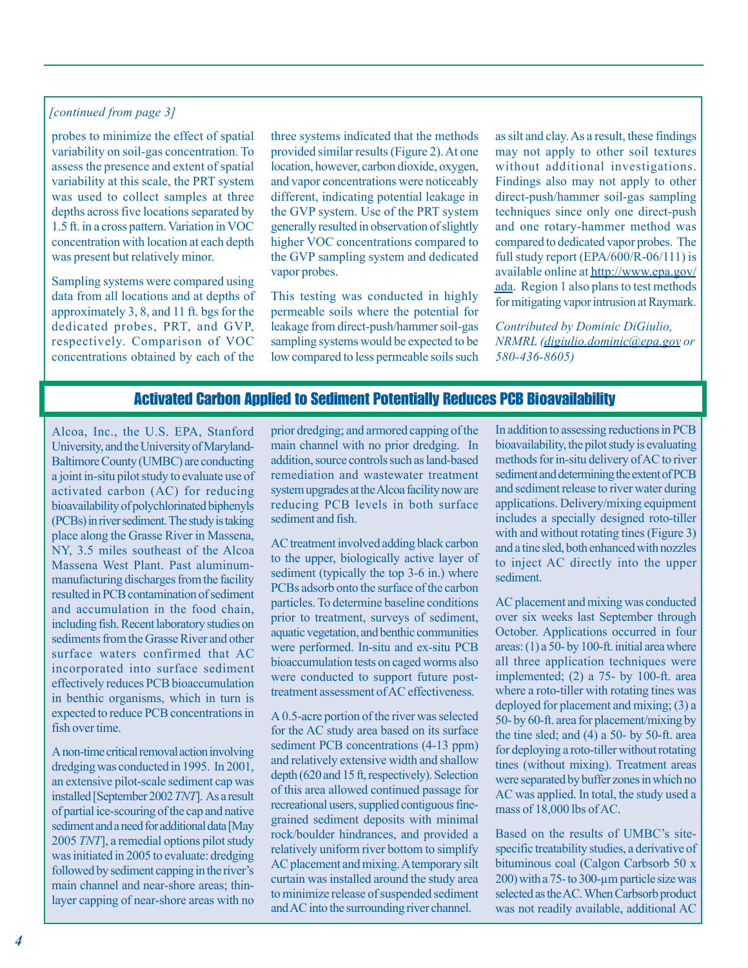#### *[continued from page 3]*

probes to minimize the effect of spatial variability on soil-gas concentration. To assess the presence and extent of spatial variability at this scale, the PRT system was used to collect samples at three depths across five locations separated by 1.5 ft. in a cross pattern. Variation in VOC concentration with location at each depth was present but relatively minor.

Sampling systems were compared using data from all locations and at depths of approximately 3, 8, and 11 ft. bgs for the dedicated probes, PRT, and GVP, respectively. Comparison of VOC concentrations obtained by each of the

three systems indicated that the methods provided similar results (Figure 2). At one location, however, carbon dioxide, oxygen, and vapor concentrations were noticeably different, indicating potential leakage in the GVP system. Use of the PRT system generally resulted in observation of slightly higher VOC concentrations compared to the GVP sampling system and dedicated vapor probes.

This testing was conducted in highly permeable soils where the potential for leakage from direct-push/hammer soil-gas sampling systems would be expected to be low compared to less permeable soils such as silt and clay. As a result, these findings may not apply to other soil textures without additional investigations. Findings also may not apply to other direct-push/hammer soil-gas sampling techniques since only one direct-push and one rotary-hammer method was compared to dedicated vapor probes. The full study report (EPA/600/R-06/111) is [available online at http://www.epa.gov/](http://www.epa.gov/ada) ada. Region 1 also plans to test methods for mitigating vapor intrusion at Raymark.

*Contributed by Dominic DiGiulio, NRMRL [\(digiulio.dominic@epa.gov](mailto:digiulio.dominic@epa.gov) [or](mailto:digiulio.dominic@epa.govor580-436-8605)  [580-436-8605\)](mailto:digiulio.dominic@epa.govor580-436-8605)* 

## Activated Carbon Applied to Sediment Potentially Reduces PCB Bioavailability

Alcoa, Inc., the U.S. EPA, Stanford University, and the University of Maryland-Baltimore County (UMBC) are conducting a joint in-situ pilot study to evaluate use of activated carbon (AC) for reducing bioavailability of polychlorinated biphenyls (PCBs) in river sediment. The study is taking place along the Grasse River in Massena, NY, 3.5 miles southeast of the Alcoa Massena West Plant. Past aluminummanufacturing discharges from the facility resulted in PCB contamination of sediment and accumulation in the food chain, including fish. Recent laboratory studies on sediments from the Grasse River and other surface waters confirmed that AC incorporated into surface sediment effectively reduces PCB bioaccumulation in benthic organisms, which in turn is expected to reduce PCB concentrations in fish over time.

A non-time critical removal action involving dredging was conducted in 1995. In 2001, an extensive pilot-scale sediment cap was installed [September 2002 *TNT*]. As a result of partial ice-scouring of the cap and native sediment and a need for additional data [May 2005 *TNT*], a remedial options pilot study was initiated in 2005 to evaluate: dredging followed by sediment capping in the river's main channel and near-shore areas; thinlayer capping of near-shore areas with no

prior dredging; and armored capping of the main channel with no prior dredging. In addition, source controls such as land-based remediation and wastewater treatment system upgrades at the Alcoa facility now are reducing PCB levels in both surface sediment and fish.

AC treatment involved adding black carbon to the upper, biologically active layer of sediment (typically the top 3-6 in.) where PCBs adsorb onto the surface of the carbon particles. To determine baseline conditions prior to treatment, surveys of sediment, aquatic vegetation, and benthic communities were performed. In-situ and ex-situ PCB bioaccumulation tests on caged worms also were conducted to support future posttreatment assessment of AC effectiveness.

A 0.5-acre portion of the river was selected for the AC study area based on its surface sediment PCB concentrations (4-13 ppm) and relatively extensive width and shallow depth (620 and 15 ft, respectively). Selection of this area allowed continued passage for recreational users, supplied contiguous finegrained sediment deposits with minimal rock/boulder hindrances, and provided a relatively uniform river bottom to simplify AC placement and mixing. A temporary silt curtain was installed around the study area to minimize release of suspended sediment and AC into the surrounding river channel.

In addition to assessing reductions in PCB bioavailability, the pilot study is evaluating methods for in-situ delivery of AC to river sediment and determining the extent of PCB and sediment release to river water during applications. Delivery/mixing equipment includes a specially designed roto-tiller with and without rotating tines (Figure 3) and a tine sled, both enhanced with nozzles to inject AC directly into the upper sediment.

AC placement and mixing was conducted over six weeks last September through October. Applications occurred in four areas: (1) a 50- by 100-ft. initial area where all three application techniques were implemented; (2) a 75- by 100-ft. area where a roto-tiller with rotating tines was deployed for placement and mixing; (3) a 50- by 60-ft. area for placement/mixing by the tine sled; and  $(4)$  a 50- by 50-ft. area for deploying a roto-tiller without rotating tines (without mixing). Treatment areas were separated by buffer zones in which no AC was applied. In total, the study used a mass of 18,000 lbs of AC.

Based on the results of UMBC's sitespecific treatability studies, a derivative of bituminous coal (Calgon Carbsorb 50 x 200) with a 75- to 300-µm particle size was selected as the AC. When Carbsorb product was not readily available, additional AC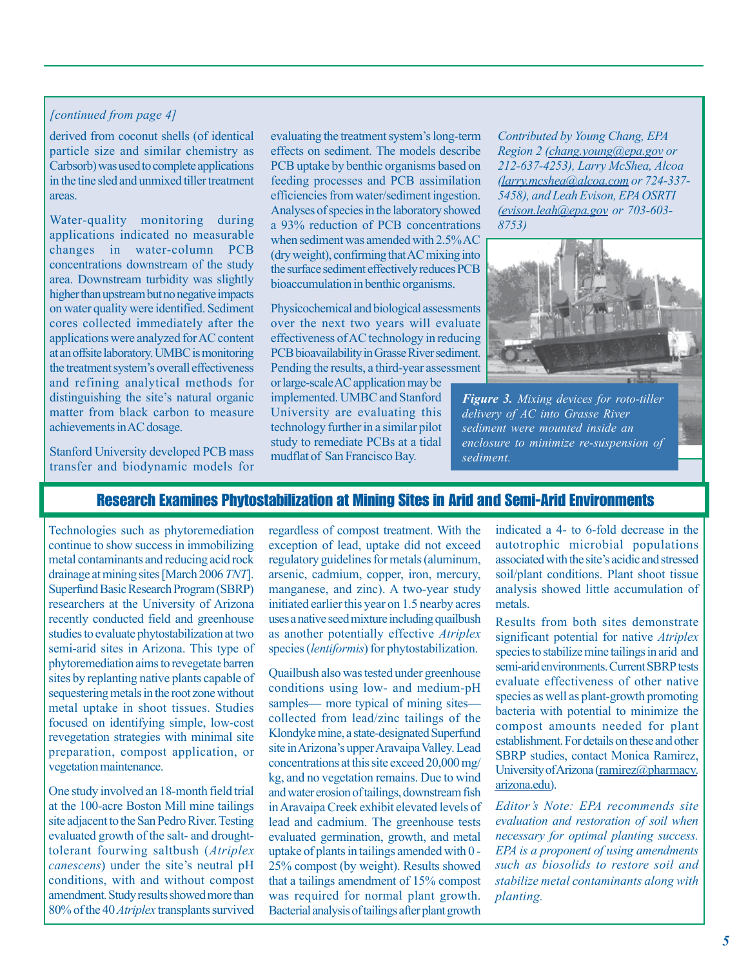#### *[continued from page 4]*

derived from coconut shells (of identical particle size and similar chemistry as Carbsorb) was used to complete applications in the tine sled and unmixed tiller treatment areas.

Water-quality monitoring during applications indicated no measurable changes in water-column PCB concentrations downstream of the study area. Downstream turbidity was slightly higher than upstream but no negative impacts on water quality were identified. Sediment cores collected immediately after the applications were analyzed for AC content at an offsite laboratory. UMBC is monitoring the treatment system's overall effectiveness and refining analytical methods for distinguishing the site's natural organic matter from black carbon to measure achievements in AC dosage.

Stanford University developed PCB mass transfer and biodynamic models for

evaluating the treatment system's long-term effects on sediment. The models describe PCB uptake by benthic organisms based on feeding processes and PCB assimilation efficiencies from water/sediment ingestion. Analyses of species in the laboratory showed a 93% reduction of PCB concentrations when sediment was amended with 2.5% AC (dry weight), confirming that AC mixing into the surface sediment effectively reduces PCB bioaccumulation in benthic organisms.

Physicochemical and biological assessments over the next two years will evaluate effectiveness of AC technology in reducing PCB bioavailability in Grasse River sediment. Pending the results, a third-year assessment or large-scale AC application may be implemented. UMBC and Stanford University are evaluating this technology further in a similar pilot study to remediate PCBs at a tidal mudflat of San Francisco Bay.

*Contributed by Young Chang, EPA Region 2 [\(chang.young@epa.go](mailto:chang.young@epa.gov)[v or](mailto:chang.young@epa.govor212-637-4253)  [212-637-4253\), La](mailto:chang.young@epa.govor212-637-4253)rry McShea, Alcoa [\(larry.mcshea@alcoa.co](mailto:larry.mcshea@alcoa.com)[m or 724-337](mailto:larry.mcshea@alcoa.comor724-337�5458) 5458), and Leah Evison, EPA OSRTI [\(evison.leah@epa.go](mailto:evison.leah@epa.gov)[v or 703-603](mailto:evison.leah@epa.govor703-603�8753) 8753)* 



*Figure 3. Mixing devices for roto-tiller delivery of AC into Grasse River sediment were mounted inside an enclosure to minimize re-suspension of sediment.* 

## Research Examines Phytostabilization at Mining Sites in Arid and Semi-Arid Environments

Technologies such as phytoremediation continue to show success in immobilizing metal contaminants and reducing acid rock drainage at mining sites [March 2006 *TNT*]. Superfund Basic Research Program (SBRP) researchers at the University of Arizona recently conducted field and greenhouse studies to evaluate phytostabilization at two semi-arid sites in Arizona. This type of phytoremediation aims to revegetate barren sites by replanting native plants capable of sequestering metals in the root zone without metal uptake in shoot tissues. Studies focused on identifying simple, low-cost revegetation strategies with minimal site preparation, compost application, or vegetation maintenance.

One study involved an 18-month field trial at the 100-acre Boston Mill mine tailings site adjacent to the San Pedro River. Testing evaluated growth of the salt- and droughttolerant fourwing saltbush (*Atriplex canescens*) under the site's neutral pH conditions, with and without compost amendment. Study results showed more than 80% of the 40 *Atriplex* transplants survived

regardless of compost treatment. With the exception of lead, uptake did not exceed regulatory guidelines for metals (aluminum, arsenic, cadmium, copper, iron, mercury, manganese, and zinc). A two-year study initiated earlier this year on 1.5 nearby acres uses a native seed mixture including quailbush as another potentially effective *Atriplex*  species (*lentiformis*) for phytostabilization.

Quailbush also was tested under greenhouse conditions using low- and medium-pH samples— more typical of mining sites collected from lead/zinc tailings of the Klondyke mine, a state-designated Superfund site in Arizona's upper Aravaipa Valley. Lead concentrations at this site exceed 20,000 mg/ kg, and no vegetation remains. Due to wind and water erosion of tailings, downstream fish in Aravaipa Creek exhibit elevated levels of lead and cadmium. The greenhouse tests evaluated germination, growth, and metal uptake of plants in tailings amended with 0 25% compost (by weight). Results showed that a tailings amendment of 15% compost was required for normal plant growth. Bacterial analysis of tailings after plant growth

indicated a 4- to 6-fold decrease in the autotrophic microbial populations associated with the site's acidic and stressed soil/plant conditions. Plant shoot tissue analysis showed little accumulation of metals.

Results from both sites demonstrate significant potential for native *Atriplex*  species to stabilize mine tailings in arid and semi-arid environments. Current SBRP tests evaluate effectiveness of other native species as well as plant-growth promoting bacteria with potential to minimize the compost amounts needed for plant establishment. For details on these and other SBRP studies, contact Monica Ramirez, [University of Arizona \(ramirez@pharmacy.](mailto:ramirez@pharmacy.arizona.edu) arizona.edu).

*Editor's Note: EPA recommends site evaluation and restoration of soil when necessary for optimal planting success. EPA is a proponent of using amendments such as biosolids to restore soil and stabilize metal contaminants along with planting.*